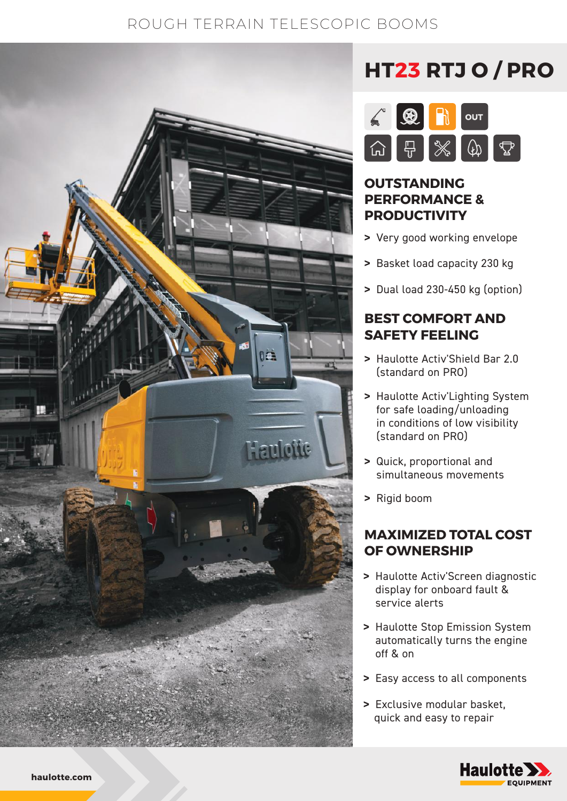# ROUGH TERRAIN TELESCOPIC BOOMS



# **HT23 RTJ O / PRO**



### **OUTSTANDING PERFORMANCE & PRODUCTIVITY**

- **>** Very good working envelope
- **>** Basket load capacity 230 kg
- **>** Dual load 230-450 kg (option)

#### **BEST COMFORT AND SAFETY FEELING**

- **>** Haulotte Activ'Shield Bar 2.0 (standard on PRO)
- **>** Haulotte Activ'Lighting System for safe loading/unloading in conditions of low visibility (standard on PRO)
- **>** Quick, proportional and simultaneous movements
- **>** Rigid boom

#### **MAXIMIZED TOTAL COST OF OWNERSHIP**

- **>** Haulotte Activ'Screen diagnostic display for onboard fault & service alerts
- **>** Haulotte Stop Emission System automatically turns the engine off & on
- **>** Easy access to all components
- **>** Exclusive modular basket, quick and easy to repair